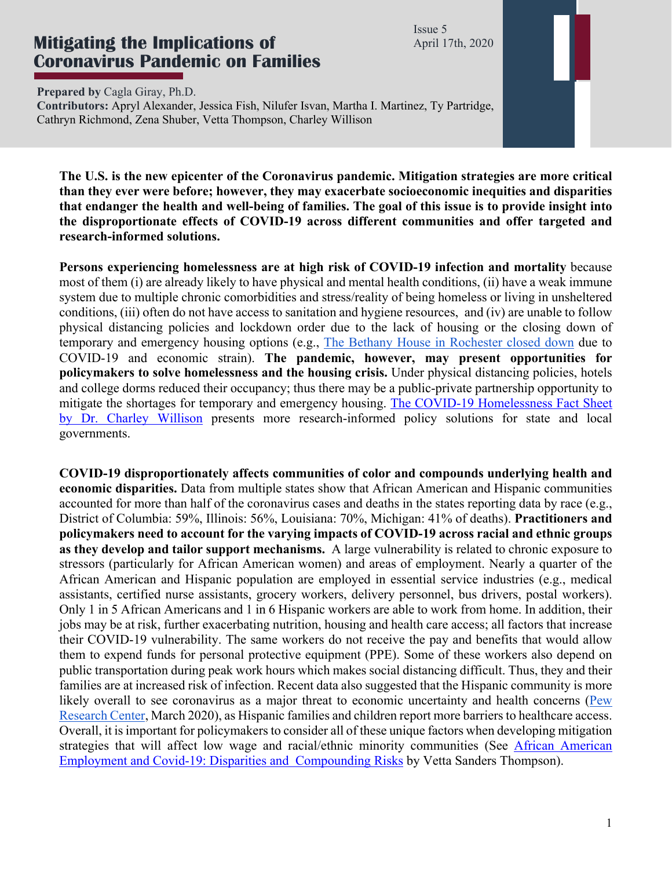Issue 5 April 17th, 2020

## **Mitigating the Implications of Coronavirus Pandemic on Families**

**Prepared by** Cagla Giray, Ph.D.

**Contributors:** Apryl Alexander, Jessica Fish, Nilufer Isvan, Martha I. Martinez, Ty Partridge, Cathryn Richmond, Zena Shuber, Vetta Thompson, Charley Willison

**The U.S. is the new epicenter of the Coronavirus pandemic. Mitigation strategies are more critical than they ever were before; however, they may exacerbate socioeconomic inequities and disparities that endanger the health and well-being of families. The goal of this issue is to provide insight into the disproportionate effects of COVID-19 across different communities and offer targeted and research-informed solutions.** 

**Persons experiencing homelessness are at high risk of COVID-19 infection and mortality** because most of them (i) are already likely to have physical and mental health conditions, (ii) have a weak immune system due to multiple chronic comorbidities and stress/reality of being homeless or living in unsheltered conditions, (iii) often do not have access to sanitation and hygiene resources, and (iv) are unable to follow physical distancing policies and lockdown order due to the lack of housing or the closing down of temporary and emergency housing options (e.g., The Bethany House in Rochester closed down due to COVID-19 and economic strain). **The pandemic, however, may present opportunities for policymakers to solve homelessness and the housing crisis.** Under physical distancing policies, hotels and college dorms reduced their occupancy; thus there may be a public-private partnership opportunity to mitigate the shortages for temporary and emergency housing. The COVID-19 Homelessness Fact Sheet by Dr. Charley Willison presents more research-informed policy solutions for state and local governments.

**COVID-19 disproportionately affects communities of color and compounds underlying health and economic disparities.** Data from multiple states show that African American and Hispanic communities accounted for more than half of the coronavirus cases and deaths in the states reporting data by race (e.g., District of Columbia: 59%, Illinois: 56%, Louisiana: 70%, Michigan: 41% of deaths). **Practitioners and policymakers need to account for the varying impacts of COVID-19 across racial and ethnic groups as they develop and tailor support mechanisms.** A large vulnerability is related to chronic exposure to stressors (particularly for African American women) and areas of employment. Nearly a quarter of the African American and Hispanic population are employed in essential service industries (e.g., medical assistants, certified nurse assistants, grocery workers, delivery personnel, bus drivers, postal workers). Only 1 in 5 African Americans and 1 in 6 Hispanic workers are able to work from home. In addition, their jobs may be at risk, further exacerbating nutrition, housing and health care access; all factors that increase their COVID-19 vulnerability. The same workers do not receive the pay and benefits that would allow them to expend funds for personal protective equipment (PPE). Some of these workers also depend on public transportation during peak work hours which makes social distancing difficult. Thus, they and their families are at increased risk of infection. Recent data also suggested that the Hispanic community is more likely overall to see coronavirus as a major threat to economic uncertainty and health concerns (Pew Research Center, March 2020), as Hispanic families and children report more barriers to healthcare access. Overall, it is important for policymakers to consider all of these unique factors when developing mitigation strategies that will affect low wage and racial/ethnic minority communities (See African American Employment and Covid-19: Disparities and Compounding Risks by Vetta Sanders Thompson).